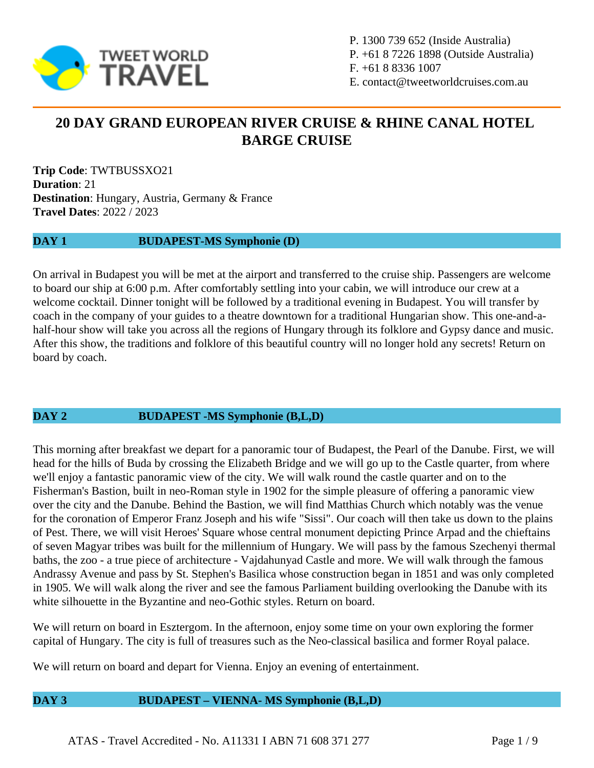

P. 1300 739 652 (Inside Australia) P. +61 8 7226 1898 (Outside Australia) F. +61 8 8336 1007 E. contact@tweetworldcruises.com.au

# **20 DAY GRAND EUROPEAN RIVER CRUISE & RHINE CANAL HOTEL BARGE CRUISE**

**Trip Code**: TWTBUSSXO21 **Duration**: 21 **Destination**: Hungary, Austria, Germany & France **Travel Dates**: 2022 / 2023

#### **DAY 1 BUDAPEST-MS Symphonie (D)**

On arrival in Budapest you will be met at the airport and transferred to the cruise ship. Passengers are welcome to board our ship at 6:00 p.m. After comfortably settling into your cabin, we will introduce our crew at a welcome cocktail. Dinner tonight will be followed by a traditional evening in Budapest. You will transfer by coach in the company of your guides to a theatre downtown for a traditional Hungarian show. This one-and-ahalf-hour show will take you across all the regions of Hungary through its folklore and Gypsy dance and music. After this show, the traditions and folklore of this beautiful country will no longer hold any secrets! Return on board by coach.

#### **DAY 2 BUDAPEST -MS Symphonie (B,L,D)**

This morning after breakfast we depart for a panoramic tour of Budapest, the Pearl of the Danube. First, we will head for the hills of Buda by crossing the Elizabeth Bridge and we will go up to the Castle quarter, from where we'll enjoy a fantastic panoramic view of the city. We will walk round the castle quarter and on to the Fisherman's Bastion, built in neo-Roman style in 1902 for the simple pleasure of offering a panoramic view over the city and the Danube. Behind the Bastion, we will find Matthias Church which notably was the venue for the coronation of Emperor Franz Joseph and his wife "Sissi". Our coach will then take us down to the plains of Pest. There, we will visit Heroes' Square whose central monument depicting Prince Arpad and the chieftains of seven Magyar tribes was built for the millennium of Hungary. We will pass by the famous Szechenyi thermal baths, the zoo - a true piece of architecture - Vajdahunyad Castle and more. We will walk through the famous Andrassy Avenue and pass by St. Stephen's Basilica whose construction began in 1851 and was only completed in 1905. We will walk along the river and see the famous Parliament building overlooking the Danube with its white silhouette in the Byzantine and neo-Gothic styles. Return on board.

We will return on board in Esztergom. In the afternoon, enjoy some time on your own exploring the former capital of Hungary. The city is full of treasures such as the Neo-classical basilica and former Royal palace.

We will return on board and depart for Vienna. Enjoy an evening of entertainment.

#### **DAY 3 BUDAPEST – VIENNA- MS Symphonie (B,L,D)**

ATAS - Travel Accredited - No. A11331 I ABN 71 608 371 277 Page 1 / 9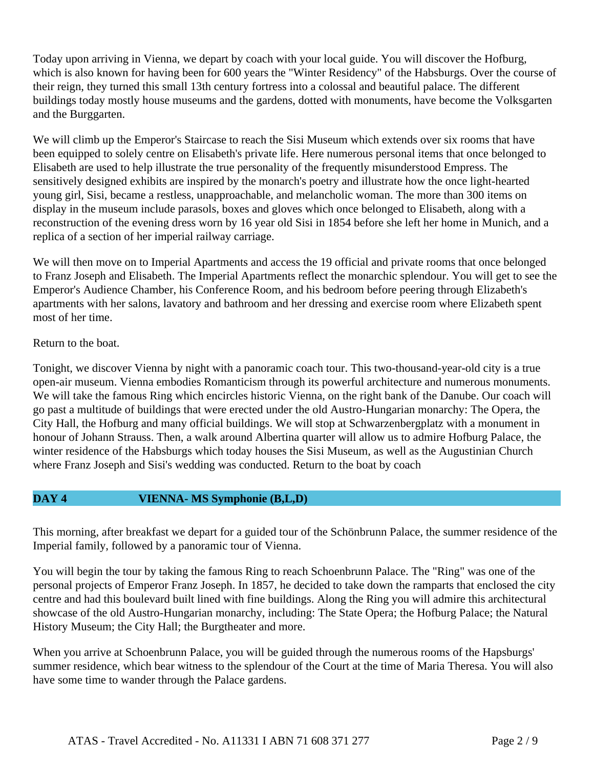Today upon arriving in Vienna, we depart by coach with your local guide. You will discover the Hofburg, which is also known for having been for 600 years the "Winter Residency" of the Habsburgs. Over the course of their reign, they turned this small 13th century fortress into a colossal and beautiful palace. The different buildings today mostly house museums and the gardens, dotted with monuments, have become the Volksgarten and the Burggarten.

We will climb up the Emperor's Staircase to reach the Sisi Museum which extends over six rooms that have been equipped to solely centre on Elisabeth's private life. Here numerous personal items that once belonged to Elisabeth are used to help illustrate the true personality of the frequently misunderstood Empress. The sensitively designed exhibits are inspired by the monarch's poetry and illustrate how the once light-hearted young girl, Sisi, became a restless, unapproachable, and melancholic woman. The more than 300 items on display in the museum include parasols, boxes and gloves which once belonged to Elisabeth, along with a reconstruction of the evening dress worn by 16 year old Sisi in 1854 before she left her home in Munich, and a replica of a section of her imperial railway carriage.

We will then move on to Imperial Apartments and access the 19 official and private rooms that once belonged to Franz Joseph and Elisabeth. The Imperial Apartments reflect the monarchic splendour. You will get to see the Emperor's Audience Chamber, his Conference Room, and his bedroom before peering through Elizabeth's apartments with her salons, lavatory and bathroom and her dressing and exercise room where Elizabeth spent most of her time.

# Return to the boat.

Tonight, we discover Vienna by night with a panoramic coach tour. This two-thousand-year-old city is a true open-air museum. Vienna embodies Romanticism through its powerful architecture and numerous monuments. We will take the famous Ring which encircles historic Vienna, on the right bank of the Danube. Our coach will go past a multitude of buildings that were erected under the old Austro-Hungarian monarchy: The Opera, the City Hall, the Hofburg and many official buildings. We will stop at Schwarzenbergplatz with a monument in honour of Johann Strauss. Then, a walk around Albertina quarter will allow us to admire Hofburg Palace, the winter residence of the Habsburgs which today houses the Sisi Museum, as well as the Augustinian Church where Franz Joseph and Sisi's wedding was conducted. Return to the boat by coach

# **DAY 4 VIENNA- MS Symphonie (B,L,D)**

This morning, after breakfast we depart for a guided tour of the Schönbrunn Palace, the summer residence of the Imperial family, followed by a panoramic tour of Vienna.

You will begin the tour by taking the famous Ring to reach Schoenbrunn Palace. The "Ring" was one of the personal projects of Emperor Franz Joseph. In 1857, he decided to take down the ramparts that enclosed the city centre and had this boulevard built lined with fine buildings. Along the Ring you will admire this architectural showcase of the old Austro-Hungarian monarchy, including: The State Opera; the Hofburg Palace; the Natural History Museum; the City Hall; the Burgtheater and more.

When you arrive at Schoenbrunn Palace, you will be guided through the numerous rooms of the Hapsburgs' summer residence, which bear witness to the splendour of the Court at the time of Maria Theresa. You will also have some time to wander through the Palace gardens.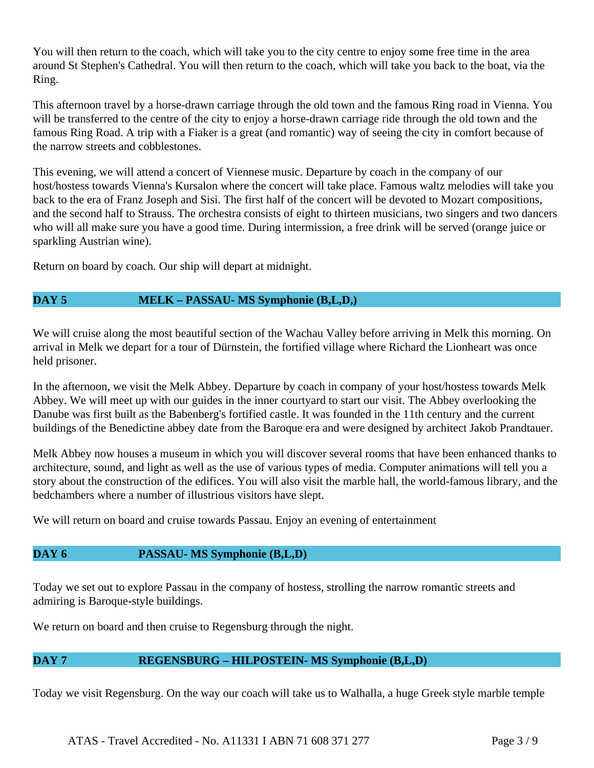You will then return to the coach, which will take you to the city centre to enjoy some free time in the area around St Stephen's Cathedral. You will then return to the coach, which will take you back to the boat, via the Ring.

This afternoon travel by a horse-drawn carriage through the old town and the famous Ring road in Vienna. You will be transferred to the centre of the city to enjoy a horse-drawn carriage ride through the old town and the famous Ring Road. A trip with a Fiaker is a great (and romantic) way of seeing the city in comfort because of the narrow streets and cobblestones.

This evening, we will attend a concert of Viennese music. Departure by coach in the company of our host/hostess towards Vienna's Kursalon where the concert will take place. Famous waltz melodies will take you back to the era of Franz Joseph and Sisi. The first half of the concert will be devoted to Mozart compositions, and the second half to Strauss. The orchestra consists of eight to thirteen musicians, two singers and two dancers who will all make sure you have a good time. During intermission, a free drink will be served (orange juice or sparkling Austrian wine).

Return on board by coach. Our ship will depart at midnight.

# **DAY 5 MELK – PASSAU- MS Symphonie (B,L,D,)**

We will cruise along the most beautiful section of the Wachau Valley before arriving in Melk this morning. On arrival in Melk we depart for a tour of Dürnstein, the fortified village where Richard the Lionheart was once held prisoner.

In the afternoon, we visit the Melk Abbey. Departure by coach in company of your host/hostess towards Melk Abbey. We will meet up with our guides in the inner courtyard to start our visit. The Abbey overlooking the Danube was first built as the Babenberg's fortified castle. It was founded in the 11th century and the current buildings of the Benedictine abbey date from the Baroque era and were designed by architect Jakob Prandtauer.

Melk Abbey now houses a museum in which you will discover several rooms that have been enhanced thanks to architecture, sound, and light as well as the use of various types of media. Computer animations will tell you a story about the construction of the edifices. You will also visit the marble hall, the world-famous library, and the bedchambers where a number of illustrious visitors have slept.

We will return on board and cruise towards Passau. Enjoy an evening of entertainment

# **DAY 6 PASSAU- MS Symphonie (B,L,D)**

Today we set out to explore Passau in the company of hostess, strolling the narrow romantic streets and admiring is Baroque-style buildings.

We return on board and then cruise to Regensburg through the night.

# **DAY 7 REGENSBURG – HILPOSTEIN- MS Symphonie (B,L,D)**

Today we visit Regensburg. On the way our coach will take us to Walhalla, a huge Greek style marble temple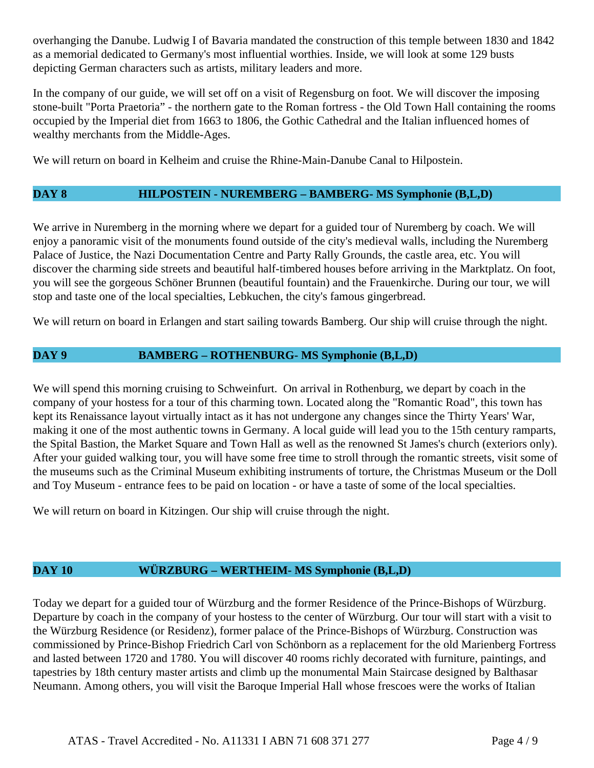overhanging the Danube. Ludwig I of Bavaria mandated the construction of this temple between 1830 and 1842 as a memorial dedicated to Germany's most influential worthies. Inside, we will look at some 129 busts depicting German characters such as artists, military leaders and more.

In the company of our guide, we will set off on a visit of Regensburg on foot. We will discover the imposing stone-built "Porta Praetoria" - the northern gate to the Roman fortress - the Old Town Hall containing the rooms occupied by the Imperial diet from 1663 to 1806, the Gothic Cathedral and the Italian influenced homes of wealthy merchants from the Middle-Ages.

We will return on board in Kelheim and cruise the Rhine-Main-Danube Canal to Hilpostein.

# **DAY 8 HILPOSTEIN - NUREMBERG – BAMBERG- MS Symphonie (B,L,D)**

We arrive in Nuremberg in the morning where we depart for a guided tour of Nuremberg by coach. We will enjoy a panoramic visit of the monuments found outside of the city's medieval walls, including the Nuremberg Palace of Justice, the Nazi Documentation Centre and Party Rally Grounds, the castle area, etc. You will discover the charming side streets and beautiful half-timbered houses before arriving in the Marktplatz. On foot, you will see the gorgeous Schöner Brunnen (beautiful fountain) and the Frauenkirche. During our tour, we will stop and taste one of the local specialties, Lebkuchen, the city's famous gingerbread.

We will return on board in Erlangen and start sailing towards Bamberg. Our ship will cruise through the night.

# **DAY 9 BAMBERG – ROTHENBURG- MS Symphonie (B,L,D)**

We will spend this morning cruising to Schweinfurt. On arrival in Rothenburg, we depart by coach in the company of your hostess for a tour of this charming town. Located along the "Romantic Road", this town has kept its Renaissance layout virtually intact as it has not undergone any changes since the Thirty Years' War, making it one of the most authentic towns in Germany. A local guide will lead you to the 15th century ramparts, the Spital Bastion, the Market Square and Town Hall as well as the renowned St James's church (exteriors only). After your guided walking tour, you will have some free time to stroll through the romantic streets, visit some of the museums such as the Criminal Museum exhibiting instruments of torture, the Christmas Museum or the Doll and Toy Museum - entrance fees to be paid on location - or have a taste of some of the local specialties.

We will return on board in Kitzingen. Our ship will cruise through the night.

# **DAY 10 WÜRZBURG – WERTHEIM- MS Symphonie (B,L,D)**

Today we depart for a guided tour of Würzburg and the former Residence of the Prince-Bishops of Würzburg. Departure by coach in the company of your hostess to the center of Würzburg. Our tour will start with a visit to the Würzburg Residence (or Residenz), former palace of the Prince-Bishops of Würzburg. Construction was commissioned by Prince-Bishop Friedrich Carl von Schönborn as a replacement for the old Marienberg Fortress and lasted between 1720 and 1780. You will discover 40 rooms richly decorated with furniture, paintings, and tapestries by 18th century master artists and climb up the monumental Main Staircase designed by Balthasar Neumann. Among others, you will visit the Baroque Imperial Hall whose frescoes were the works of Italian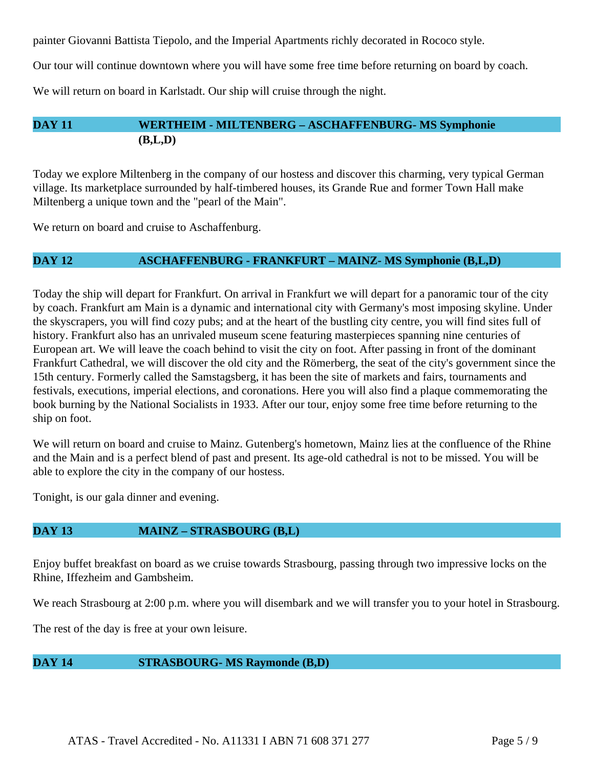painter Giovanni Battista Tiepolo, and the Imperial Apartments richly decorated in Rococo style.

Our tour will continue downtown where you will have some free time before returning on board by coach.

We will return on board in Karlstadt. Our ship will cruise through the night.

# **DAY 11 WERTHEIM - MILTENBERG – ASCHAFFENBURG- MS Symphonie (B,L,D)**

Today we explore Miltenberg in the company of our hostess and discover this charming, very typical German village. Its marketplace surrounded by half-timbered houses, its Grande Rue and former Town Hall make Miltenberg a unique town and the "pearl of the Main".

We return on board and cruise to Aschaffenburg.

#### **DAY 12 ASCHAFFENBURG - FRANKFURT – MAINZ- MS Symphonie (B,L,D)**

Today the ship will depart for Frankfurt. On arrival in Frankfurt we will depart for a panoramic tour of the city by coach. Frankfurt am Main is a dynamic and international city with Germany's most imposing skyline. Under the skyscrapers, you will find cozy pubs; and at the heart of the bustling city centre, you will find sites full of history. Frankfurt also has an unrivaled museum scene featuring masterpieces spanning nine centuries of European art. We will leave the coach behind to visit the city on foot. After passing in front of the dominant Frankfurt Cathedral, we will discover the old city and the Römerberg, the seat of the city's government since the 15th century. Formerly called the Samstagsberg, it has been the site of markets and fairs, tournaments and festivals, executions, imperial elections, and coronations. Here you will also find a plaque commemorating the book burning by the National Socialists in 1933. After our tour, enjoy some free time before returning to the ship on foot.

We will return on board and cruise to Mainz. Gutenberg's hometown, Mainz lies at the confluence of the Rhine and the Main and is a perfect blend of past and present. Its age-old cathedral is not to be missed. You will be able to explore the city in the company of our hostess.

Tonight, is our gala dinner and evening.

# **DAY 13 MAINZ – STRASBOURG (B,L)**

Enjoy buffet breakfast on board as we cruise towards Strasbourg, passing through two impressive locks on the Rhine, Iffezheim and Gambsheim.

We reach Strasbourg at 2:00 p.m. where you will disembark and we will transfer you to your hotel in Strasbourg.

The rest of the day is free at your own leisure.

# **DAY 14 STRASBOURG- MS Raymonde (B,D)**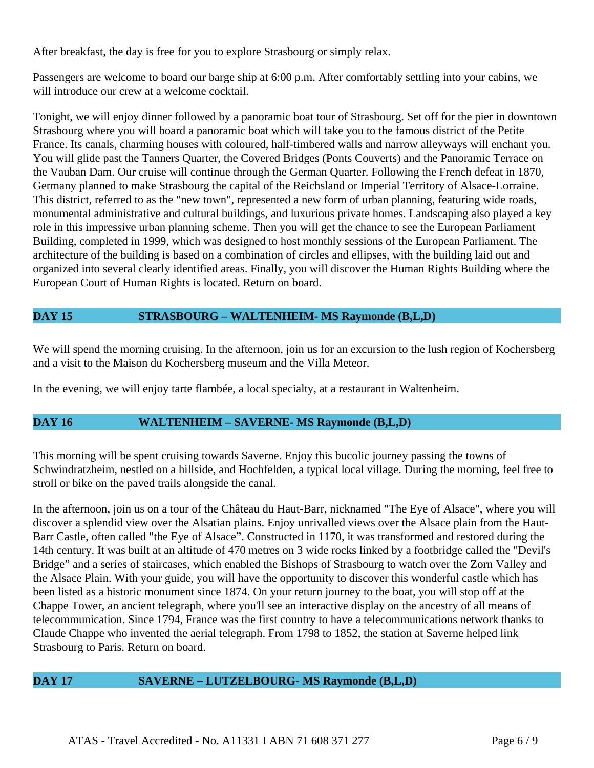After breakfast, the day is free for you to explore Strasbourg or simply relax.

Passengers are welcome to board our barge ship at 6:00 p.m. After comfortably settling into your cabins, we will introduce our crew at a welcome cocktail.

Tonight, we will enjoy dinner followed by a panoramic boat tour of Strasbourg. Set off for the pier in downtown Strasbourg where you will board a panoramic boat which will take you to the famous district of the Petite France. Its canals, charming houses with coloured, half-timbered walls and narrow alleyways will enchant you. You will glide past the Tanners Quarter, the Covered Bridges (Ponts Couverts) and the Panoramic Terrace on the Vauban Dam. Our cruise will continue through the German Quarter. Following the French defeat in 1870, Germany planned to make Strasbourg the capital of the Reichsland or Imperial Territory of Alsace-Lorraine. This district, referred to as the "new town", represented a new form of urban planning, featuring wide roads, monumental administrative and cultural buildings, and luxurious private homes. Landscaping also played a key role in this impressive urban planning scheme. Then you will get the chance to see the European Parliament Building, completed in 1999, which was designed to host monthly sessions of the European Parliament. The architecture of the building is based on a combination of circles and ellipses, with the building laid out and organized into several clearly identified areas. Finally, you will discover the Human Rights Building where the European Court of Human Rights is located. Return on board.

# **DAY 15 STRASBOURG – WALTENHEIM- MS Raymonde (B,L,D)**

We will spend the morning cruising. In the afternoon, join us for an excursion to the lush region of Kochersberg and a visit to the Maison du Kochersberg museum and the Villa Meteor.

In the evening, we will enjoy tarte flambée, a local specialty, at a restaurant in Waltenheim.

# **DAY 16 WALTENHEIM – SAVERNE- MS Raymonde (B,L,D)**

This morning will be spent cruising towards Saverne. Enjoy this bucolic journey passing the towns of Schwindratzheim, nestled on a hillside, and Hochfelden, a typical local village. During the morning, feel free to stroll or bike on the paved trails alongside the canal.

In the afternoon, join us on a tour of the Château du Haut-Barr, nicknamed "The Eye of Alsace", where you will discover a splendid view over the Alsatian plains. Enjoy unrivalled views over the Alsace plain from the Haut-Barr Castle, often called "the Eye of Alsace". Constructed in 1170, it was transformed and restored during the 14th century. It was built at an altitude of 470 metres on 3 wide rocks linked by a footbridge called the "Devil's Bridge" and a series of staircases, which enabled the Bishops of Strasbourg to watch over the Zorn Valley and the Alsace Plain. With your guide, you will have the opportunity to discover this wonderful castle which has been listed as a historic monument since 1874. On your return journey to the boat, you will stop off at the Chappe Tower, an ancient telegraph, where you'll see an interactive display on the ancestry of all means of telecommunication. Since 1794, France was the first country to have a telecommunications network thanks to Claude Chappe who invented the aerial telegraph. From 1798 to 1852, the station at Saverne helped link Strasbourg to Paris. Return on board.

# **DAY 17 SAVERNE – LUTZELBOURG- MS Raymonde (B,L,D)**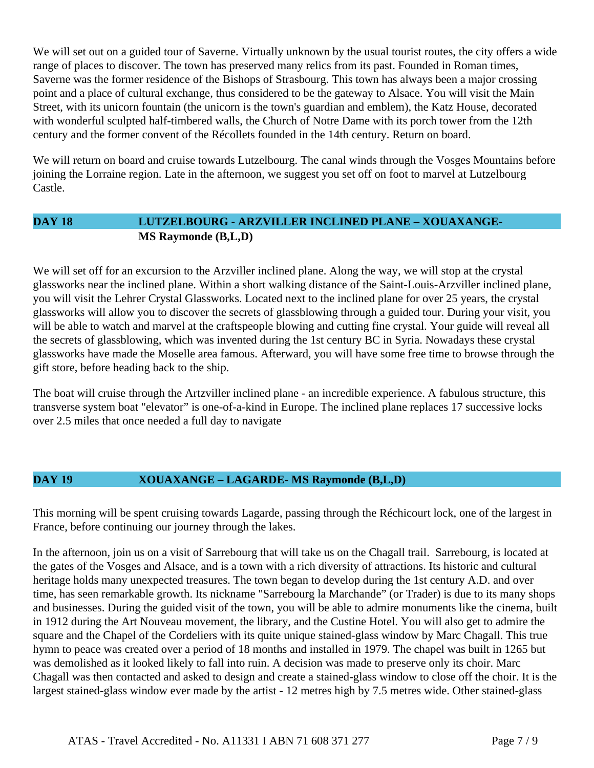We will set out on a guided tour of Saverne. Virtually unknown by the usual tourist routes, the city offers a wide range of places to discover. The town has preserved many relics from its past. Founded in Roman times, Saverne was the former residence of the Bishops of Strasbourg. This town has always been a major crossing point and a place of cultural exchange, thus considered to be the gateway to Alsace. You will visit the Main Street, with its unicorn fountain (the unicorn is the town's guardian and emblem), the Katz House, decorated with wonderful sculpted half-timbered walls, the Church of Notre Dame with its porch tower from the 12th century and the former convent of the Récollets founded in the 14th century. Return on board.

We will return on board and cruise towards Lutzelbourg. The canal winds through the Vosges Mountains before joining the Lorraine region. Late in the afternoon, we suggest you set off on foot to marvel at Lutzelbourg Castle.

# **DAY 18 LUTZELBOURG - ARZVILLER INCLINED PLANE – XOUAXANGE-MS Raymonde (B,L,D)**

We will set off for an excursion to the Arzviller inclined plane. Along the way, we will stop at the crystal glassworks near the inclined plane. Within a short walking distance of the Saint-Louis-Arzviller inclined plane, you will visit the Lehrer Crystal Glassworks. Located next to the inclined plane for over 25 years, the crystal glassworks will allow you to discover the secrets of glassblowing through a guided tour. During your visit, you will be able to watch and marvel at the craftspeople blowing and cutting fine crystal. Your guide will reveal all the secrets of glassblowing, which was invented during the 1st century BC in Syria. Nowadays these crystal glassworks have made the Moselle area famous. Afterward, you will have some free time to browse through the gift store, before heading back to the ship.

The boat will cruise through the Artzviller inclined plane - an incredible experience. A fabulous structure, this transverse system boat "elevator" is one-of-a-kind in Europe. The inclined plane replaces 17 successive locks over 2.5 miles that once needed a full day to navigate

# **DAY 19 XOUAXANGE – LAGARDE- MS Raymonde (B,L,D)**

This morning will be spent cruising towards Lagarde, passing through the Réchicourt lock, one of the largest in France, before continuing our journey through the lakes.

In the afternoon, join us on a visit of Sarrebourg that will take us on the Chagall trail. Sarrebourg, is located at the gates of the Vosges and Alsace, and is a town with a rich diversity of attractions. Its historic and cultural heritage holds many unexpected treasures. The town began to develop during the 1st century A.D. and over time, has seen remarkable growth. Its nickname "Sarrebourg la Marchande" (or Trader) is due to its many shops and businesses. During the guided visit of the town, you will be able to admire monuments like the cinema, built in 1912 during the Art Nouveau movement, the library, and the Custine Hotel. You will also get to admire the square and the Chapel of the Cordeliers with its quite unique stained-glass window by Marc Chagall. This true hymn to peace was created over a period of 18 months and installed in 1979. The chapel was built in 1265 but was demolished as it looked likely to fall into ruin. A decision was made to preserve only its choir. Marc Chagall was then contacted and asked to design and create a stained-glass window to close off the choir. It is the largest stained-glass window ever made by the artist - 12 metres high by 7.5 metres wide. Other stained-glass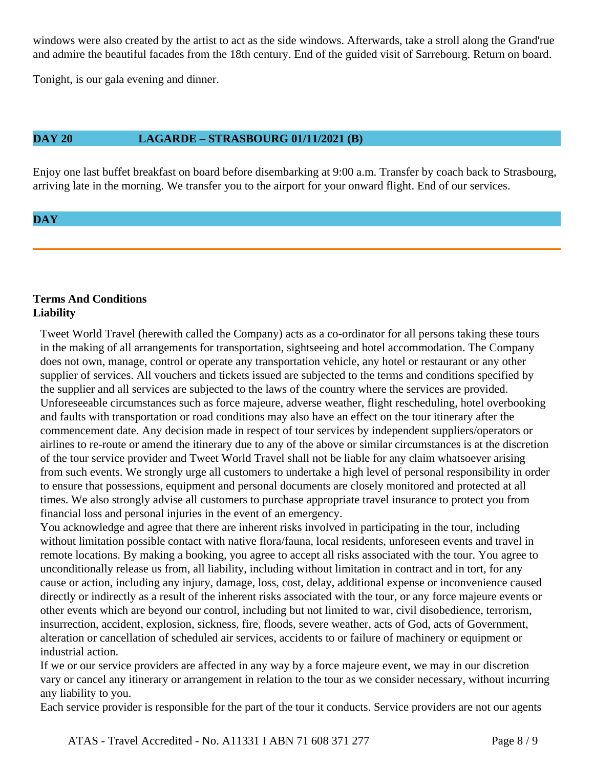windows were also created by the artist to act as the side windows. Afterwards, take a stroll along the Grand'rue and admire the beautiful facades from the 18th century. End of the guided visit of Sarrebourg. Return on board.

Tonight, is our gala evening and dinner.

#### **DAY 20 LAGARDE – STRASBOURG 01/11/2021 (B)**

Enjoy one last buffet breakfast on board before disembarking at 9:00 a.m. Transfer by coach back to Strasbourg, arriving late in the morning. We transfer you to the airport for your onward flight. End of our services.

# **DAY**

# **Terms And Conditions Liability**

Tweet World Travel (herewith called the Company) acts as a co-ordinator for all persons taking these tours in the making of all arrangements for transportation, sightseeing and hotel accommodation. The Company does not own, manage, control or operate any transportation vehicle, any hotel or restaurant or any other supplier of services. All vouchers and tickets issued are subjected to the terms and conditions specified by the supplier and all services are subjected to the laws of the country where the services are provided. Unforeseeable circumstances such as force majeure, adverse weather, flight rescheduling, hotel overbooking and faults with transportation or road conditions may also have an effect on the tour itinerary after the commencement date. Any decision made in respect of tour services by independent suppliers/operators or airlines to re-route or amend the itinerary due to any of the above or similar circumstances is at the discretion of the tour service provider and Tweet World Travel shall not be liable for any claim whatsoever arising from such events. We strongly urge all customers to undertake a high level of personal responsibility in order to ensure that possessions, equipment and personal documents are closely monitored and protected at all times. We also strongly advise all customers to purchase appropriate travel insurance to protect you from financial loss and personal injuries in the event of an emergency.

You acknowledge and agree that there are inherent risks involved in participating in the tour, including without limitation possible contact with native flora/fauna, local residents, unforeseen events and travel in remote locations. By making a booking, you agree to accept all risks associated with the tour. You agree to unconditionally release us from, all liability, including without limitation in contract and in tort, for any cause or action, including any injury, damage, loss, cost, delay, additional expense or inconvenience caused directly or indirectly as a result of the inherent risks associated with the tour, or any force majeure events or other events which are beyond our control, including but not limited to war, civil disobedience, terrorism, insurrection, accident, explosion, sickness, fire, floods, severe weather, acts of God, acts of Government, alteration or cancellation of scheduled air services, accidents to or failure of machinery or equipment or industrial action.

If we or our service providers are affected in any way by a force majeure event, we may in our discretion vary or cancel any itinerary or arrangement in relation to the tour as we consider necessary, without incurring any liability to you.

Each service provider is responsible for the part of the tour it conducts. Service providers are not our agents